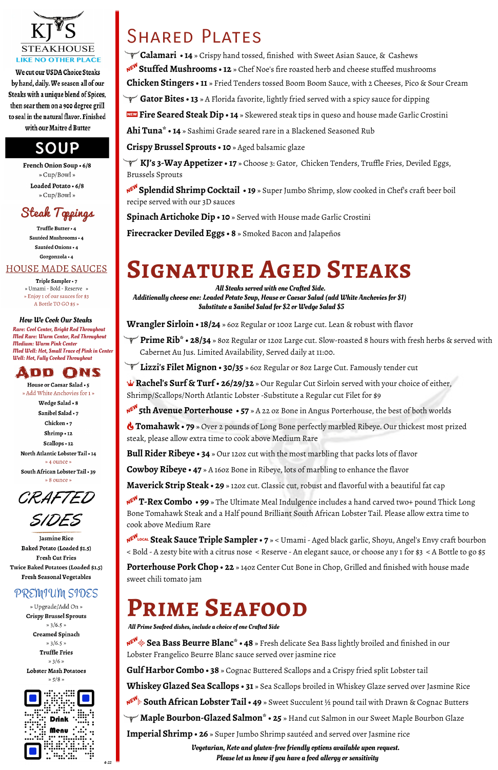

We cut our USDA Choice Steaks by hand, daily. We season all of our Steaks with a unique blend of Spices, then sear them on a 900 degree grill to seal in the natural flavor. Finished with our Maitre d Butter

### SOUP

French Onion Soup . 6/8 » Cup/Bowl » Loaded Potato · 6/8 » Cup/Bowl »



Truffle Butter · 4 Sautéed Mushrooms · 4 Sautéed Onions · 4 Gorgonzola . 4

#### **HOUSE MADE SAUCES**

Triple Sampler · 7 » Umami - Bold - Reserve » » Enjoy 1 of our sauces for \$3 A Bottle TO GO \$5 »

A**Stuffed Mushrooms • 12** » Chef Noe's fire roasted herb and cheese stuffed mushrooms

**Chicken Stingers • 11** » Fried Tenders tossed Boom Boom Sauce, with 2 Cheeses, Pico & Sour Cream

Gator Bites • 13 » A Florida favorite, lightly fried served with a spicy sauce for dipping

,**Fire Seared Steak Dip • 14** » Skewered steak tips in queso and house made Garlic Crostini

**Ahi Tuna\* • 14** » Sashimi Grade seared rare in a Blackened Seasoned Rub

**Crispy Brussel Sprouts • 10** » Aged balsamic glaze

 $\Psi$  **Prime Rib\* • 28/34** » 80z Regular or 120z Large cut. Slow-roasted 8 hours with fresh herbs & served with Cabernet Au Jus. Limited Availability, Served daily at 11:00.

\_\_**KJ's 3-Way Appetizer • 17** » Choose 3: Gator, Chicken Tenders, Truffle Fries, Deviled Eggs, Brussels Sprouts

A**Splendid Shrimp Cocktail • 19** » Super Jumbo Shrimp, slow cooked in Chef's craft beer boil recipe served with our 3D sauces

**Spinach Artichoke Dip • 10** » Served with House made Garlic Crostini

**Firecracker Deviled Eggs • 8** » Smoked Bacon and Jalapeños

# **Signature Aged Steaks**

**Wrangler Sirloin • 18/24** » 6oz Regular or 10oz Large cut. Lean & robust with flavor

\_\_**Lizzi's Filet Mignon • 30/35** » 6oz Regular or 8oz Large Cut. Famously tender cut

: **Rachel's Surf & Turf • 26/29/32** » Our Regular Cut Sirloin served with your choice of either, Shrimp/Scallops/North Atlantic Lobster -Substitute a Regular cut Filet for \$9

A**5th Avenue Porterhouse • 57** » A 22 oz Bone in Angus Porterhouse, the best of both worlds

'**Tomahawk • 79** » Over 2 pounds of Long Bone perfectly marbled Ribeye. Our thickest most prized steak, please allow extra time to cook above Medium Rare

**Bull Rider Ribeye • 34** » Our 12oz cut with the most marbling that packs lots of flavor

Vegetarian, Keto and gluten-free friendly options available upon request.  $\frac{1}{4.22}$   $\blacksquare$ 

**Cowboy Ribeye • 47** » A 16oz Bone in Ribeye, lots of marbling to enhance the flavor

**Maverick Strip Steak • 29** » 12oz cut. Classic cut, robust and flavorful with a beautiful fat cap

A**T-Rex Combo • 99** » The Ultimate Meal Indulgence includes a hand carved two+ pound Thick Long Bone Tomahawk Steak and a Half pound Brilliant South African Lobster Tail. Please allow extra time to cook above Medium Rare

A7**Steak Sauce Triple Sampler • 7** » < Umami - Aged black garlic, Shoyu, Angel's Envy craft bourbon < Bold - A zesty bite with a citrus nose < Reserve - An elegant sauce, or choose any 1 for \$3 < A Bottle to go \$5

**Porterhouse Pork Chop • 22** » 14oz Center Cut Bone in Chop, Grilled and finished with house made sweet chili tomato jam

Twice Baked Potatoes (Loaded \$1.5) **Fresh Seasonal Vegetables** 

#### PREMIUM SIDES

» Upgrade/Add On » **Crispy Brussel Sprouts**  $*3/6.5*$ Creamed Spinach

 $*3/6.5*$ 

**Truffle Fries** 

 $*3/6*$ 

Lobster Mash Potatoes

 $*5/8*$ 



# **Prime Seafood**

AŒ **Sea Bass Beurre Blanc\* • 48** » Fresh delicate Sea Bass lightly broiled and finished in our Lobster Frangelico Beurre Blanc sauce served over jasmine rice

**Gulf Harbor Combo • 38** » Cognac Buttered Scallops and a Crispy fried split Lobster tail

**Whiskey Glazed Sea Scallops • 31** » Sea Scallops broiled in Whiskey Glaze served over Jasmine Rice

A) **South African Lobster Tail • 49** » Sweet Succulent ½ pound tail with Drawn & Cognac Butters

\_\_ **Maple Bourbon-Glazed Salmon\* • 25** » Hand cut Salmon in our Sweet Maple Bourbon Glaze

**Imperial Shrimp • 26** » Super Jumbo Shrimp sautéed and served over Jasmine rice

Rare: Cool Center, Bright Red Throughout Med Rare: Warm Center, Red Throughout Medium: Warm Pink Center Med Well: Hot, Small Trace of Pink in Center Well: Hot, Fully Cooked Throughout



House or Caesar Salad . 5 » Add White Anchovies for 1 » Wedge Salad . 8 Sanibel Salad • 7 Chicken · 7 Shrimp . 12 Scallops . 12 North Atlantic Lobster Tail . 14 » 4 ounce » South African Lobster Tail • 39 » 8 ounce »



Jasmine Rice Baked Potato (Loaded \$1.5) **Fresh Cut Fries** 

### SHARED PLATES

 $\blacktriangledown$  **Calamari • 14** » Crispy hand tossed, finished with Sweet Asian Sauce, & Cashews

#### How We Cook Our Steaks

All Steaks served with one Crafted Side. Additionally choose one: Loaded Potato Soup, House or Caesar Salad (add White Anchovies for \$1) Substitute a Sanibel Salad for \$2 or Wedge Salad \$5

All Prime Seafood dishes, include a choice of one Crafted Side